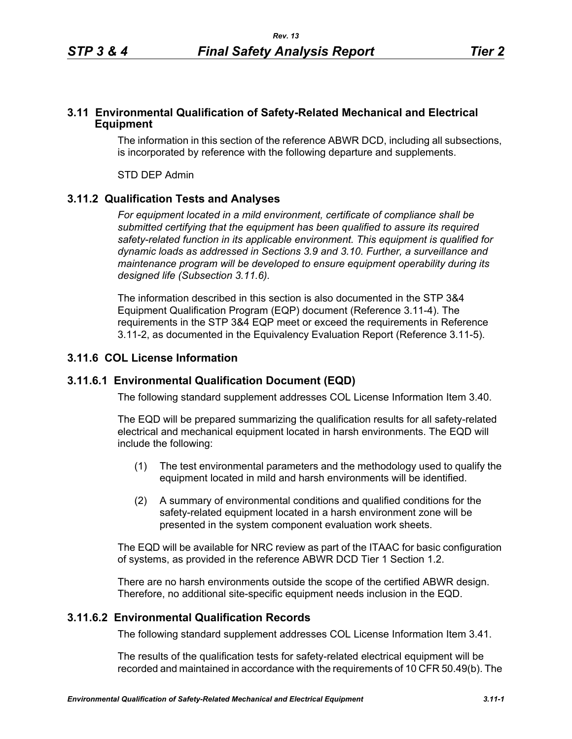## **3.11 Environmental Qualification of Safety-Related Mechanical and Electrical Equipment**

The information in this section of the reference ABWR DCD, including all subsections, is incorporated by reference with the following departure and supplements.

STD DEP Admin

## **3.11.2 Qualification Tests and Analyses**

*For equipment located in a mild environment, certificate of compliance shall be submitted certifying that the equipment has been qualified to assure its required safety-related function in its applicable environment. This equipment is qualified for dynamic loads as addressed in Sections 3.9 and 3.10. Further, a surveillance and maintenance program will be developed to ensure equipment operability during its designed life (Subsection 3.11.6).*

The information described in this section is also documented in the STP 3&4 Equipment Qualification Program (EQP) document (Reference 3.11-4). The requirements in the STP 3&4 EQP meet or exceed the requirements in Reference 3.11-2, as documented in the Equivalency Evaluation Report (Reference 3.11-5).

# **3.11.6 COL License Information**

#### **3.11.6.1 Environmental Qualification Document (EQD)**

The following standard supplement addresses COL License Information Item 3.40.

The EQD will be prepared summarizing the qualification results for all safety-related electrical and mechanical equipment located in harsh environments. The EQD will include the following:

- (1) The test environmental parameters and the methodology used to qualify the equipment located in mild and harsh environments will be identified.
- (2) A summary of environmental conditions and qualified conditions for the safety-related equipment located in a harsh environment zone will be presented in the system component evaluation work sheets.

The EQD will be available for NRC review as part of the ITAAC for basic configuration of systems, as provided in the reference ABWR DCD Tier 1 Section 1.2.

There are no harsh environments outside the scope of the certified ABWR design. Therefore, no additional site-specific equipment needs inclusion in the EQD.

#### **3.11.6.2 Environmental Qualification Records**

The following standard supplement addresses COL License Information Item 3.41.

The results of the qualification tests for safety-related electrical equipment will be recorded and maintained in accordance with the requirements of 10 CFR 50.49(b). The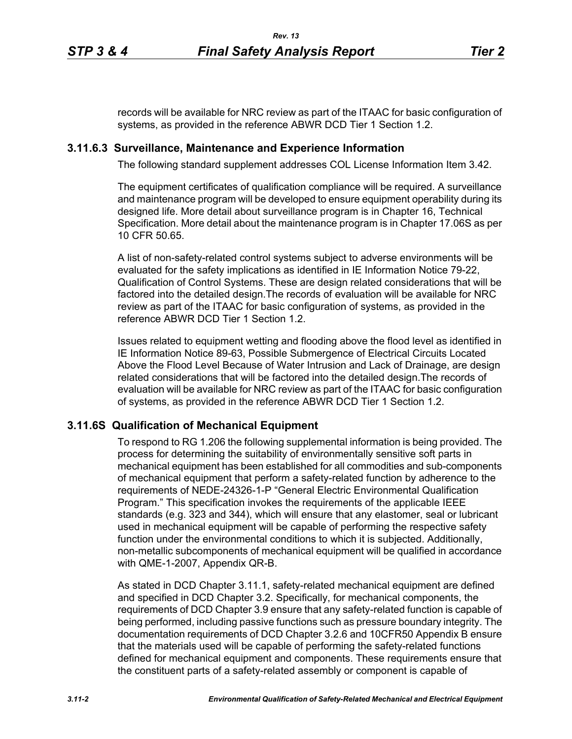records will be available for NRC review as part of the ITAAC for basic configuration of systems, as provided in the reference ABWR DCD Tier 1 Section 1.2.

#### **3.11.6.3 Surveillance, Maintenance and Experience Information**

The following standard supplement addresses COL License Information Item 3.42.

The equipment certificates of qualification compliance will be required. A surveillance and maintenance program will be developed to ensure equipment operability during its designed life. More detail about surveillance program is in Chapter 16, Technical Specification. More detail about the maintenance program is in Chapter 17.06S as per 10 CFR 50.65.

A list of non-safety-related control systems subject to adverse environments will be evaluated for the safety implications as identified in IE Information Notice 79-22, Qualification of Control Systems. These are design related considerations that will be factored into the detailed design.The records of evaluation will be available for NRC review as part of the ITAAC for basic configuration of systems, as provided in the reference ABWR DCD Tier 1 Section 1.2.

Issues related to equipment wetting and flooding above the flood level as identified in IE Information Notice 89-63, Possible Submergence of Electrical Circuits Located Above the Flood Level Because of Water Intrusion and Lack of Drainage, are design related considerations that will be factored into the detailed design.The records of evaluation will be available for NRC review as part of the ITAAC for basic configuration of systems, as provided in the reference ABWR DCD Tier 1 Section 1.2.

#### **3.11.6S Qualification of Mechanical Equipment**

To respond to RG 1.206 the following supplemental information is being provided. The process for determining the suitability of environmentally sensitive soft parts in mechanical equipment has been established for all commodities and sub-components of mechanical equipment that perform a safety-related function by adherence to the requirements of NEDE-24326-1-P "General Electric Environmental Qualification Program." This specification invokes the requirements of the applicable IEEE standards (e.g. 323 and 344), which will ensure that any elastomer, seal or lubricant used in mechanical equipment will be capable of performing the respective safety function under the environmental conditions to which it is subjected. Additionally, non-metallic subcomponents of mechanical equipment will be qualified in accordance with QME-1-2007, Appendix QR-B.

As stated in DCD Chapter 3.11.1, safety-related mechanical equipment are defined and specified in DCD Chapter 3.2. Specifically, for mechanical components, the requirements of DCD Chapter 3.9 ensure that any safety-related function is capable of being performed, including passive functions such as pressure boundary integrity. The documentation requirements of DCD Chapter 3.2.6 and 10CFR50 Appendix B ensure that the materials used will be capable of performing the safety-related functions defined for mechanical equipment and components. These requirements ensure that the constituent parts of a safety-related assembly or component is capable of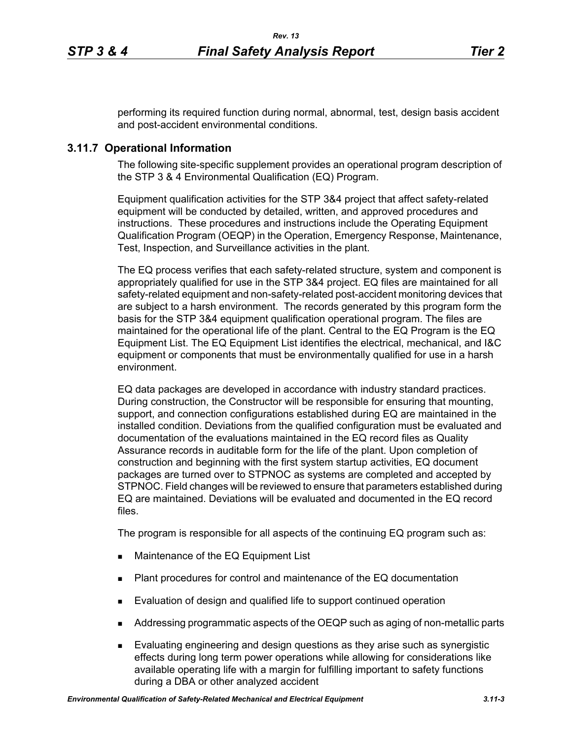performing its required function during normal, abnormal, test, design basis accident and post-accident environmental conditions.

## **3.11.7 Operational Information**

The following site-specific supplement provides an operational program description of the STP 3 & 4 Environmental Qualification (EQ) Program.

Equipment qualification activities for the STP 3&4 project that affect safety-related equipment will be conducted by detailed, written, and approved procedures and instructions. These procedures and instructions include the Operating Equipment Qualification Program (OEQP) in the Operation, Emergency Response, Maintenance, Test, Inspection, and Surveillance activities in the plant.

The EQ process verifies that each safety-related structure, system and component is appropriately qualified for use in the STP 3&4 project. EQ files are maintained for all safety-related equipment and non-safety-related post-accident monitoring devices that are subject to a harsh environment. The records generated by this program form the basis for the STP 3&4 equipment qualification operational program. The files are maintained for the operational life of the plant. Central to the EQ Program is the EQ Equipment List. The EQ Equipment List identifies the electrical, mechanical, and I&C equipment or components that must be environmentally qualified for use in a harsh environment.

EQ data packages are developed in accordance with industry standard practices. During construction, the Constructor will be responsible for ensuring that mounting, support, and connection configurations established during EQ are maintained in the installed condition. Deviations from the qualified configuration must be evaluated and documentation of the evaluations maintained in the EQ record files as Quality Assurance records in auditable form for the life of the plant. Upon completion of construction and beginning with the first system startup activities, EQ document packages are turned over to STPNOC as systems are completed and accepted by STPNOC. Field changes will be reviewed to ensure that parameters established during EQ are maintained. Deviations will be evaluated and documented in the EQ record files.

The program is responsible for all aspects of the continuing EQ program such as:

- **Maintenance of the EQ Equipment List**
- Plant procedures for control and maintenance of the EQ documentation
- **Evaluation of design and qualified life to support continued operation**
- Addressing programmatic aspects of the OEQP such as aging of non-metallic parts
- Evaluating engineering and design questions as they arise such as synergistic effects during long term power operations while allowing for considerations like available operating life with a margin for fulfilling important to safety functions during a DBA or other analyzed accident